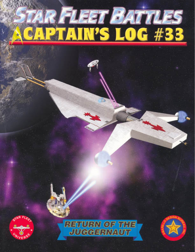# STAR FLEET BATTLES<br>SCAPTAIN'S LOG #33





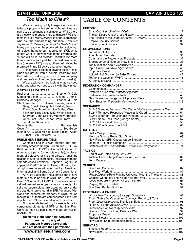## **STAR FLEET UNIVERSE CAPTAIN'S LOG #3**

## **Too Much to Chew?**

We are moving boldly to exploit our vast intellectual property, but some might ask if we are trying to do too many things at once. While there are those who propose more and more RPG systems for our *Prime Directive* line, there are those who ask the embarassing question Whatever happened to those expansions for Battle Force? Many are ready for the promised discussion that will select the next four modules for *SFB*, while others want to know how soon the Hydrans and Vudar will be in Federation Commander. More than a few are annoyed that the next new miniature (the lowly APT) is late; others ask about the promised Prime Directive character figures.

Things were stretched beyond design limits when we got hit with a double whammy: Ken Burnside left suddenly to run his own company and Leanna's mother died (we lost two weeks).

We are taking a hard look at what we need to do, and what we need to do it with. Stay tuned.

#### **CAPTAIN'S LOG STAFF**

| Publisher  Stephen V. Cole                  |                                           |
|---------------------------------------------|-------------------------------------------|
| Managing Editor  Steven P. Petrick          |                                           |
| Business Manager  Leanna M. Cole            |                                           |
| Star Fleet StaffStewart Frazier, John D.    |                                           |
| Berg, Chuck Strong, Jeff Laikind, Gary      |                                           |
| Plana, Scott Moellmer, Joe Butler, Mike     |                                           |
|                                             | Filsinger, Nick Blank, Mike West, Richard |
|                                             | Sherman, John Sickels, Matthew Francois,  |
| Chris Fant, Scott Tenhoff, Paul Franz,      |                                           |
| Jonathan Thompson.                          |                                           |
| Security Staff  Ramses, Isis                |                                           |
|                                             |                                           |
| Interior Art Dale McKee, Loren Knight, Adam |                                           |

Interior Art.... Dale McKee, Loren Knight, Adam Turner, Alvin Belflower, SVC.

#### **PUBLISHER'S INFORMATION**

Captain's Log #33 was created and published by Amarillo Design Bureau, Inc., P.O. Box 8759, Amarillo, TX 79114. Contact ADB, Inc. to order spare parts (or to obtain a list), replacement of defective or missing parts, or anything relating to Star Fleet products. Include a stamped self-addressed envelope. Captain's Log #33 is copyright © 2006 Amarillo Design Bureau, Inc.; all rights are reserved under the Pan-American, International, and Berne Copyright Conventions.

All rules questions and submissions of new material should be sent to ADB, Inc., Post Office Box 8759, Amarillo, TX 79114. Include a stamped self-addressed envelope if you wish a reply. Unsolicited submissions are accepted only under the standard terms found in SFB Advanced Missions and become the property of ADB, Inc. on receipt; but authors are compensated if the item is published. Others should inquire by letter.

No materials based on, for use with, or incorporating elements of SFB or the Star Fleet Universe may be published without permission of ADB, Inc.

**Elements of the Star Fleet Universe are the property of Paramount Pictures Corporation and are used with their permission.**

**www.starfleetgames.com**

# **TABLE OF CONTENTS**

| <b>HISTORY</b>                                                    |  |
|-------------------------------------------------------------------|--|
|                                                                   |  |
| <b>COMMUNICATIONS</b>                                             |  |
|                                                                   |  |
|                                                                   |  |
|                                                                   |  |
| <b>FEDERATION COMMANDER</b>                                       |  |
| <b>SCENARIOS</b>                                                  |  |
| SL246 Stand At Arcturus: The Second Battle of Juggernaut Beta  52 |  |
| <b>DATABASE</b>                                                   |  |
|                                                                   |  |
| TACTICS                                                           |  |
|                                                                   |  |
| <b>VENUES</b>                                                     |  |
| Prime Directive Role-Playing Universe: Meet the Tholians  88      |  |
| <b>FEDERATION &amp; EMPIRE</b>                                    |  |
| From Defensive Operations: Convoys, Repairs, & Tugs  94           |  |
| <b>SHIPYARD</b>                                                   |  |
|                                                                   |  |